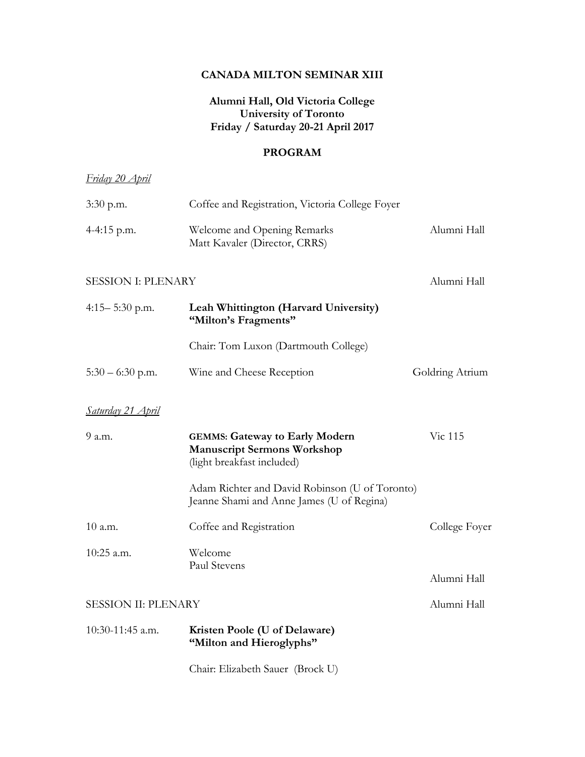## **CANADA MILTON SEMINAR XIII**

## **Alumni Hall, Old Victoria College University of Toronto Friday / Saturday 20-21 April 2017**

### **PROGRAM**

# *Friday 20 April*

| $3:30$ p.m.                | Coffee and Registration, Victoria College Foyer                                                           |                 |
|----------------------------|-----------------------------------------------------------------------------------------------------------|-----------------|
| 4-4:15 p.m.                | Welcome and Opening Remarks<br>Matt Kavaler (Director, CRRS)                                              | Alumni Hall     |
| <b>SESSION I: PLENARY</b>  |                                                                                                           | Alumni Hall     |
| $4:15 - 5:30$ p.m.         | Leah Whittington (Harvard University)<br>"Milton's Fragments"                                             |                 |
|                            | Chair: Tom Luxon (Dartmouth College)                                                                      |                 |
| $5:30 - 6:30$ p.m.         | Wine and Cheese Reception                                                                                 | Goldring Atrium |
| Saturday 21 April          |                                                                                                           |                 |
| 9 a.m.                     | <b>GEMMS: Gateway to Early Modern</b><br><b>Manuscript Sermons Workshop</b><br>(light breakfast included) | Vic 115         |
|                            | Adam Richter and David Robinson (U of Toronto)<br>Jeanne Shami and Anne James (U of Regina)               |                 |
| 10 a.m.                    | Coffee and Registration                                                                                   | College Foyer   |
| 10:25 a.m.                 | Welcome<br>Paul Stevens                                                                                   |                 |
|                            |                                                                                                           | Alumni Hall     |
| <b>SESSION II: PLENARY</b> |                                                                                                           | Alumni Hall     |
| 10:30-11:45 a.m.           | Kristen Poole (U of Delaware)<br>"Milton and Hieroglyphs"                                                 |                 |
|                            | Chair: Elizabeth Sauer (Brock U)                                                                          |                 |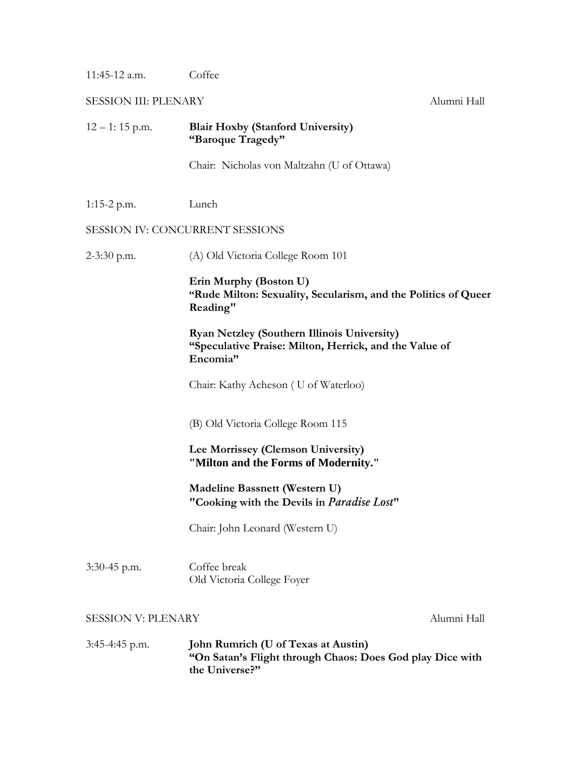11:45-12 a.m. Coffee

1:15-2 p.m. Lunch

SESSION III: PLENARY Alumni Hall

12 – 1: 15 p.m. **Blair Hoxby (Stanford University) "Baroque Tragedy"** Chair: Nicholas von Maltzahn (U of Ottawa) SESSION IV: CONCURRENT SESSIONS 2-3:30 p.m. (A) Old Victoria College Room 101

> **Erin Murphy (Boston U) "Rude Milton: Sexuality, Secularism, and the Politics of Queer Reading"**

**Ryan Netzley (Southern Illinois University) "Speculative Praise: Milton, Herrick, and the Value of Encomia"**

Chair: Kathy Acheson ( U of Waterloo)

(B) Old Victoria College Room 115

## **Lee Morrissey (Clemson University) "Milton and the Forms of Modernity."**

**Madeline Bassnett (Western U) "Cooking with the Devils in** *Paradise Lost***"**

Chair: John Leonard (Western U)

3:30-45 p.m. Coffee break Old Victoria College Foyer

#### SESSION V: PLENARY Alumni Hall

3:45-4:45 p.m. **John Rumrich (U of Texas at Austin) "On Satan's Flight through Chaos: Does God play Dice with the Universe?"**